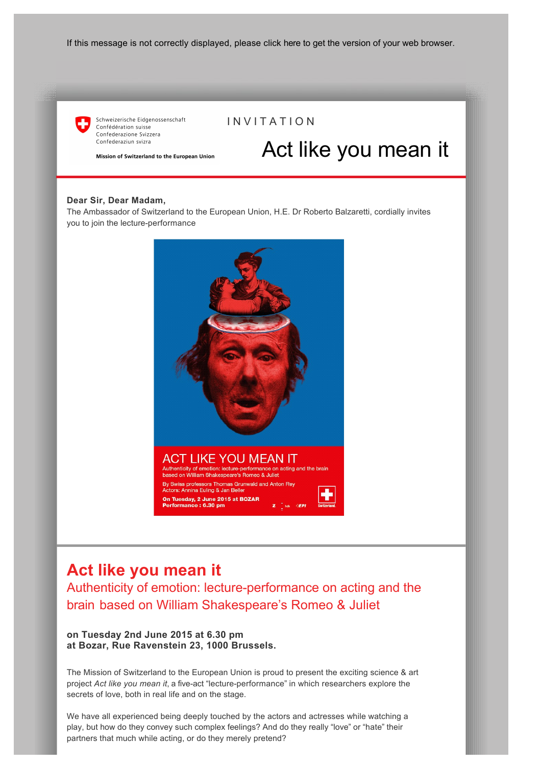If this message is not correctly displayed, please click [here](http://mw.weaver.ch/f/view.aspx?1AA752E2F7496752E2E63A97C302863A875372474967B312378A998740E4) to get the version of your web browser.



Schweizerische Eidgenossenschaft Confédération suisse Confederazione Svizzera Confederaziun svizra

#### INVITATION

# Act like you mean it

Mission of Switzerland to the European Union

#### **Dear Sir, Dear Madam,**

The Ambassador of Switzerland to the European Union, H.E. Dr Roberto Balzaretti, cordially invites you to join the lecture-performance



### **Act like you mean it**

Authenticity of emotion: lecture-performance on acting and the brain based on William Shakespeare's Romeo & Juliet

**on Tuesday 2nd June 2015 at 6.30 pm at Bozar, Rue Ravenstein 23, 1000 Brussels.**

The Mission of Switzerland to the European Union is proud to present the exciting science & art project *Act like you mean it*, a five-act "lecture-performance" in which researchers explore the secrets of love, both in real life and on the stage.

We have all experienced being deeply touched by the actors and actresses while watching a play, but how do they convey such complex feelings? And do they really "love" or "hate" their partners that much while acting, or do they merely pretend?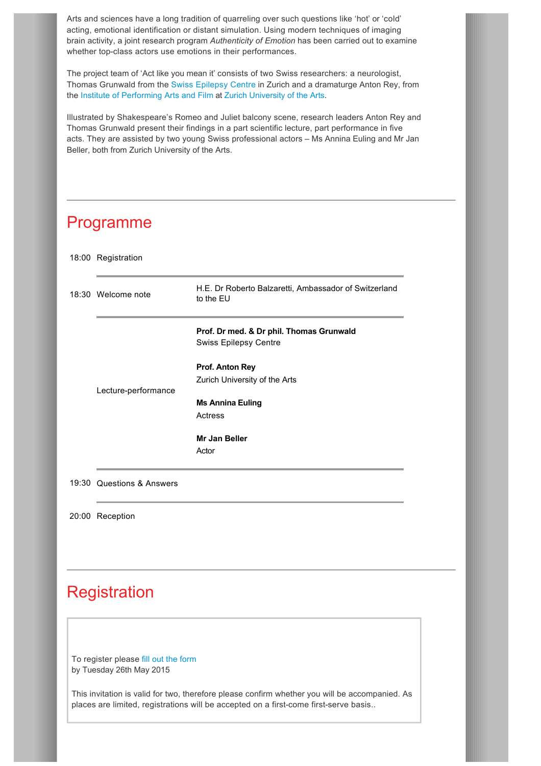Arts and sciences have a long tradition of quarreling over such questions like 'hot' or 'cold' acting, emotional identification or distant simulation. Using modern techniques of imaging brain activity, a joint research program *Authenticity of Emotion* has been carried out to examine whether top-class actors use emotions in their performances.

The project team of 'Act like you mean it' consists of two Swiss researchers: a neurologist, Thomas Grunwald from the [Swiss Epilepsy Centre](http://www.swissepi.ch/epilepsie-zentrum/navigationsteil-b/english-version/) in Zurich and a dramaturge Anton Rey, from th[e Institute of Performing Arts and Film](https://www.zhdk.ch/?ipf) at [Zurich University of the Arts](https://www.zhdk.ch/).

Illustrated by Shakespeare's Romeo and Juliet balcony scene, research leaders Anton Rey and Thomas Grunwald present their findings in a part scientific lecture, part performance in five acts. They are assisted by two young Swiss professional actors – Ms Annina Euling and Mr Jan Beller, both from Zurich University of the Arts.

## Programme

|       | 18:00 Registration        |                                                                          |
|-------|---------------------------|--------------------------------------------------------------------------|
|       | 18:30 Welcome note        | H.E. Dr Roberto Balzaretti, Ambassador of Switzerland<br>to the EU       |
|       |                           | Prof. Dr med. & Dr phil. Thomas Grunwald<br><b>Swiss Epilepsy Centre</b> |
|       |                           | Prof. Anton Rey                                                          |
|       |                           | Zurich University of the Arts                                            |
|       | Lecture-performance       | <b>Ms Annina Euling</b>                                                  |
|       |                           | Actress                                                                  |
|       |                           | Mr Jan Beller                                                            |
|       |                           | Actor                                                                    |
|       | 19:30 Questions & Answers |                                                                          |
| 20:00 | Reception                 |                                                                          |

## **Registration**

To register please [fill out the form](http://mw.weaver.ch/f/s.aspx?1FD441D2F2EEB421D2E1DFE492E281DFD4226242EEB482F2323FE43C1EEE) by Tuesday 26th May 2015

This invitation is valid for two, therefore please confirm whether you will be accompanied. As places are limited, registrations will be accepted on a first-come first-serve basis..